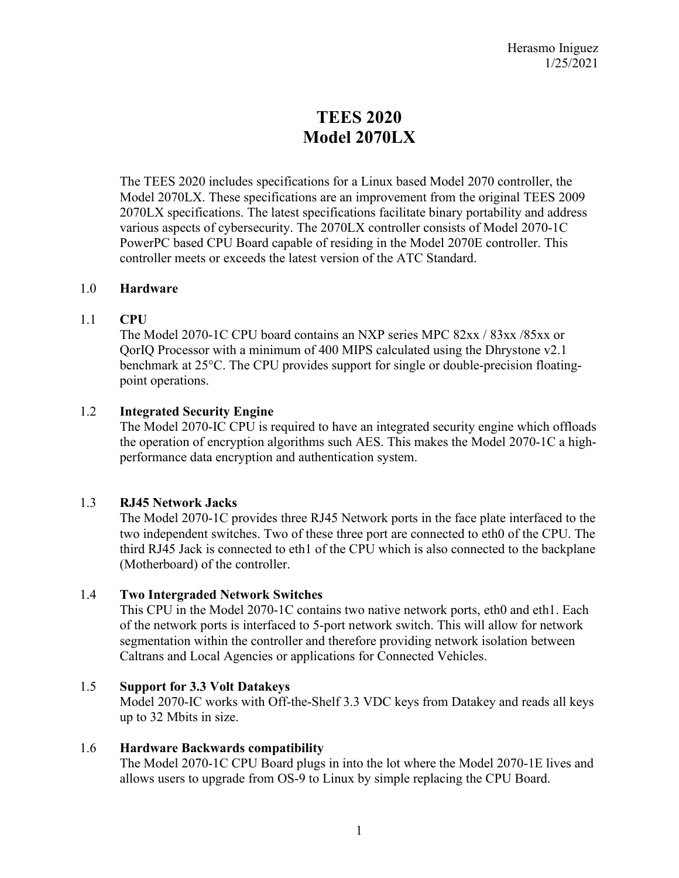# **TEES 2020 Model 2070LX**

The TEES 2020 includes specifications for a Linux based Model 2070 controller, the Model 2070LX. These specifications are an improvement from the original TEES 2009 2070LX specifications. The latest specifications facilitate binary portability and address various aspects of cybersecurity. The 2070LX controller consists of Model 2070-1C PowerPC based CPU Board capable of residing in the Model 2070E controller. This controller meets or exceeds the latest version of the ATC Standard.

## 1.0 **Hardware**

# 1.1 **CPU**

The Model 2070-1C CPU board contains an NXP series MPC 82xx / 83xx /85xx or QorIQ Processor with a minimum of 400 MIPS calculated using the Dhrystone v2.1 benchmark at 25°C. The CPU provides support for single or double-precision floatingpoint operations.

# 1.2 **Integrated Security Engine**

The Model 2070-IC CPU is required to have an integrated security engine which offloads the operation of encryption algorithms such AES. This makes the Model 2070-1C a highperformance data encryption and authentication system.

# 1.3 **RJ45 Network Jacks**

The Model 2070-1C provides three RJ45 Network ports in the face plate interfaced to the two independent switches. Two of these three port are connected to eth0 of the CPU. The third RJ45 Jack is connected to eth1 of the CPU which is also connected to the backplane (Motherboard) of the controller.

# 1.4 **Two Intergraded Network Switches**

This CPU in the Model 2070-1C contains two native network ports, eth0 and eth1. Each of the network ports is interfaced to 5-port network switch. This will allow for network segmentation within the controller and therefore providing network isolation between Caltrans and Local Agencies or applications for Connected Vehicles.

# 1.5 **Support for 3.3 Volt Datakeys**

Model 2070-IC works with Off-the-Shelf 3.3 VDC keys from Datakey and reads all keys up to 32 Mbits in size.

# 1.6 **Hardware Backwards compatibility**

The Model 2070-1C CPU Board plugs in into the lot where the Model 2070-1E lives and allows users to upgrade from OS-9 to Linux by simple replacing the CPU Board.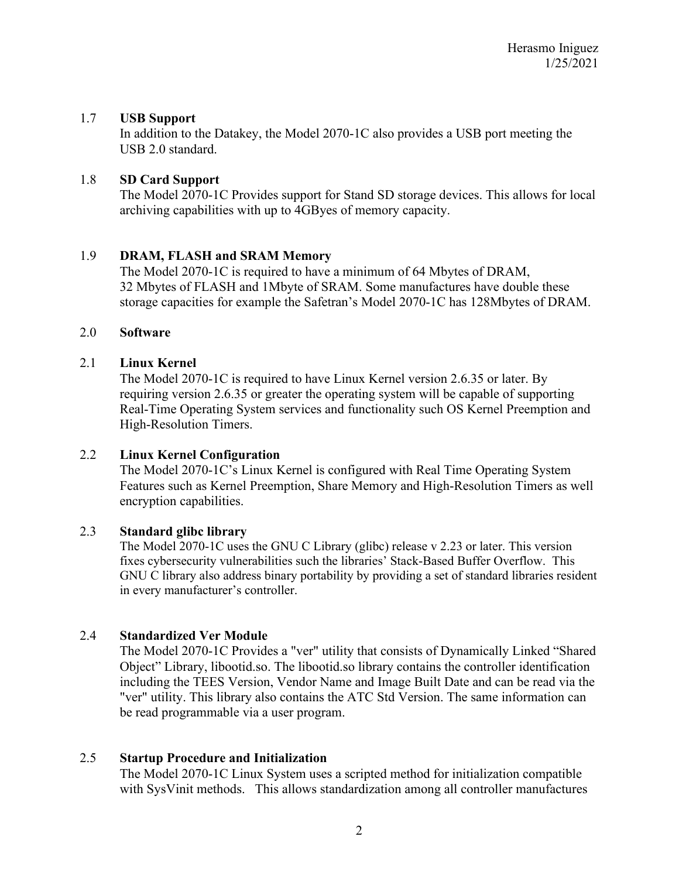## 1.7 **USB Support**

In addition to the Datakey, the Model 2070-1C also provides a USB port meeting the USB 2.0 standard.

## 1.8 **SD Card Support**

The Model 2070-1C Provides support for Stand SD storage devices. This allows for local archiving capabilities with up to 4GByes of memory capacity.

## 1.9 **DRAM, FLASH and SRAM Memory**

The Model 2070-1C is required to have a minimum of 64 Mbytes of DRAM, 32 Mbytes of FLASH and 1Mbyte of SRAM. Some manufactures have double these storage capacities for example the Safetran's Model 2070-1C has 128Mbytes of DRAM.

## 2.0 **Software**

## 2.1 **Linux Kernel**

The Model 2070-1C is required to have Linux Kernel version 2.6.35 or later. By requiring version 2.6.35 or greater the operating system will be capable of supporting Real-Time Operating System services and functionality such OS Kernel Preemption and High-Resolution Timers.

## 2.2 **Linux Kernel Configuration**

The Model 2070-1C's Linux Kernel is configured with Real Time Operating System Features such as Kernel Preemption, Share Memory and High-Resolution Timers as well encryption capabilities.

## 2.3 **Standard glibc library**

The Model 2070-1C uses the GNU C Library (glibc) release v 2.23 or later. This version fixes cybersecurity vulnerabilities such the libraries' Stack-Based Buffer Overflow. This GNU C library also address binary portability by providing a set of standard libraries resident in every manufacturer's controller.

## 2.4 **Standardized Ver Module**

The Model 2070-1C Provides a "ver" utility that consists of Dynamically Linked "Shared Object" Library, libootid.so. The libootid.so library contains the controller identification including the TEES Version, Vendor Name and Image Built Date and can be read via the "ver" utility. This library also contains the ATC Std Version. The same information can be read programmable via a user program.

## 2.5 **Startup Procedure and Initialization**

The Model 2070-1C Linux System uses a scripted method for initialization compatible with SysVinit methods. This allows standardization among all controller manufactures